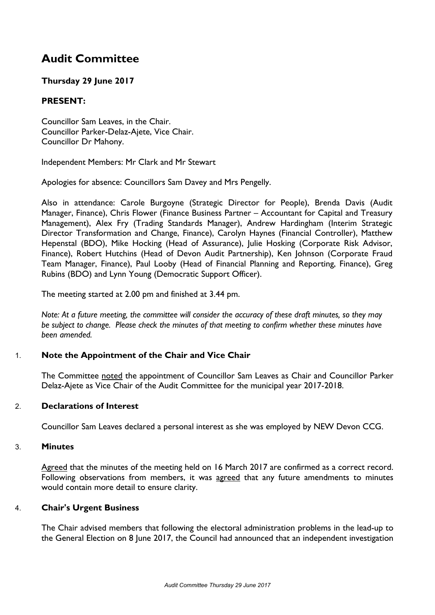# **Audit Committee**

# **Thursday 29 June 2017**

## **PRESENT:**

Councillor Sam Leaves, in the Chair. Councillor Parker-Delaz-Ajete, Vice Chair. Councillor Dr Mahony.

Independent Members: Mr Clark and Mr Stewart

Apologies for absence: Councillors Sam Davey and Mrs Pengelly.

Also in attendance: Carole Burgoyne (Strategic Director for People), Brenda Davis (Audit Manager, Finance), Chris Flower (Finance Business Partner – Accountant for Capital and Treasury Management), Alex Fry (Trading Standards Manager), Andrew Hardingham (Interim Strategic Director Transformation and Change, Finance), Carolyn Haynes (Financial Controller), Matthew Hepenstal (BDO), Mike Hocking (Head of Assurance), Julie Hosking (Corporate Risk Advisor, Finance), Robert Hutchins (Head of Devon Audit Partnership), Ken Johnson (Corporate Fraud Team Manager, Finance), Paul Looby (Head of Financial Planning and Reporting, Finance), Greg Rubins (BDO) and Lynn Young (Democratic Support Officer).

The meeting started at 2.00 pm and finished at 3.44 pm.

Note: At a future meeting, the committee will consider the accuracy of these draft minutes, so they may *be subject to change. Please check the minutes of that meeting to confirm whether these minutes have been amended.*

## 1. **Note the Appointment of the Chair and Vice Chair**

The Committee noted the appointment of Councillor Sam Leaves as Chair and Councillor Parker Delaz-Ajete as Vice Chair of the Audit Committee for the municipal year 2017-2018.

## 2. **Declarations of Interest**

Councillor Sam Leaves declared a personal interest as she was employed by NEW Devon CCG.

#### 3. **Minutes**

Agreed that the minutes of the meeting held on 16 March 2017 are confirmed as a correct record. Following observations from members, it was agreed that any future amendments to minutes would contain more detail to ensure clarity.

## 4. **Chair's Urgent Business**

The Chair advised members that following the electoral administration problems in the lead-up to the General Election on 8 June 2017, the Council had announced that an independent investigation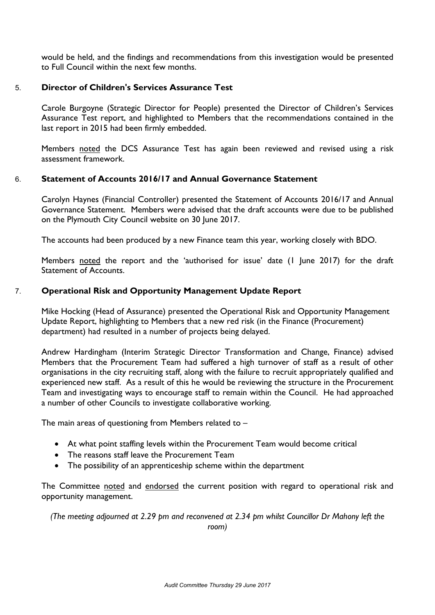would be held, and the findings and recommendations from this investigation would be presented to Full Council within the next few months.

## 5. **Director of Children's Services Assurance Test**

Carole Burgoyne (Strategic Director for People) presented the Director of Children's Services Assurance Test report, and highlighted to Members that the recommendations contained in the last report in 2015 had been firmly embedded.

Members noted the DCS Assurance Test has again been reviewed and revised using a risk assessment framework.

#### 6. **Statement of Accounts 2016/17 and Annual Governance Statement**

Carolyn Haynes (Financial Controller) presented the Statement of Accounts 2016/17 and Annual Governance Statement. Members were advised that the draft accounts were due to be published on the Plymouth City Council website on 30 June 2017.

The accounts had been produced by a new Finance team this year, working closely with BDO.

Members noted the report and the 'authorised for issue' date (1 June 2017) for the draft Statement of Accounts.

### 7. **Operational Risk and Opportunity Management Update Report**

Mike Hocking (Head of Assurance) presented the Operational Risk and Opportunity Management Update Report, highlighting to Members that a new red risk (in the Finance (Procurement) department) had resulted in a number of projects being delayed.

Andrew Hardingham (Interim Strategic Director Transformation and Change, Finance) advised Members that the Procurement Team had suffered a high turnover of staff as a result of other organisations in the city recruiting staff, along with the failure to recruit appropriately qualified and experienced new staff. As a result of this he would be reviewing the structure in the Procurement Team and investigating ways to encourage staff to remain within the Council. He had approached a number of other Councils to investigate collaborative working.

The main areas of questioning from Members related to –

- At what point staffing levels within the Procurement Team would become critical
- The reasons staff leave the Procurement Team
- The possibility of an apprenticeship scheme within the department

The Committee noted and endorsed the current position with regard to operational risk and opportunity management.

*(The meeting adjourned at 2.29 pm and reconvened at 2.34 pm whilst Councillor Dr Mahony left the room)*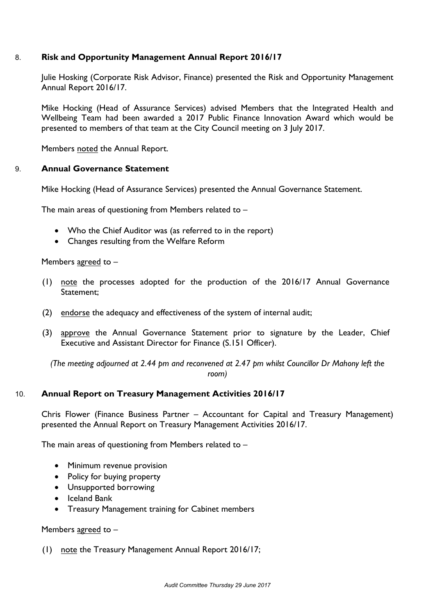## 8. **Risk and Opportunity Management Annual Report 2016/17**

Julie Hosking (Corporate Risk Advisor, Finance) presented the Risk and Opportunity Management Annual Report 2016/17.

Mike Hocking (Head of Assurance Services) advised Members that the Integrated Health and Wellbeing Team had been awarded a 2017 Public Finance Innovation Award which would be presented to members of that team at the City Council meeting on 3 July 2017.

Members noted the Annual Report.

### 9. **Annual Governance Statement**

Mike Hocking (Head of Assurance Services) presented the Annual Governance Statement.

The main areas of questioning from Members related to –

- Who the Chief Auditor was (as referred to in the report)
- Changes resulting from the Welfare Reform

Members agreed to –

- (1) note the processes adopted for the production of the 2016/17 Annual Governance Statement;
- (2) endorse the adequacy and effectiveness of the system of internal audit;
- (3) approve the Annual Governance Statement prior to signature by the Leader, Chief Executive and Assistant Director for Finance (S.151 Officer).

*(The meeting adjourned at 2.44 pm and reconvened at 2.47 pm whilst Councillor Dr Mahony left the room)*

#### 10. **Annual Report on Treasury Management Activities 2016/17**

Chris Flower (Finance Business Partner – Accountant for Capital and Treasury Management) presented the Annual Report on Treasury Management Activities 2016/17.

The main areas of questioning from Members related to –

- Minimum revenue provision
- Policy for buying property
- Unsupported borrowing
- Iceland Bank
- Treasury Management training for Cabinet members

#### Members agreed to –

(1) note the Treasury Management Annual Report 2016/17;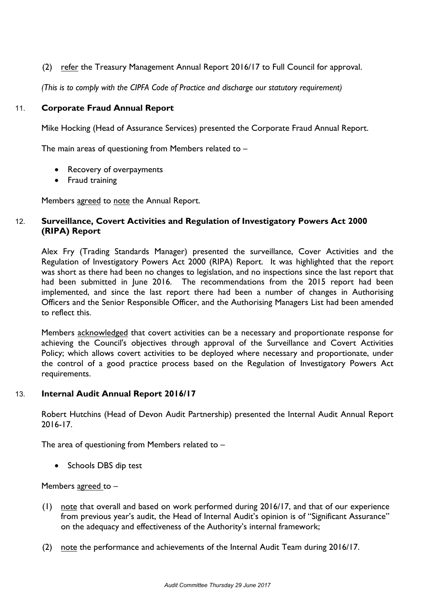(2) refer the Treasury Management Annual Report 2016/17 to Full Council for approval.

*(This is to comply with the CIPFA Code of Practice and discharge our statutory requirement)*

### 11. **Corporate Fraud Annual Report**

Mike Hocking (Head of Assurance Services) presented the Corporate Fraud Annual Report.

The main areas of questioning from Members related to –

- Recovery of overpayments
- Fraud training

Members agreed to note the Annual Report.

## 12. **Surveillance, Covert Activities and Regulation of Investigatory Powers Act 2000 (RIPA) Report**

Alex Fry (Trading Standards Manager) presented the surveillance, Cover Activities and the Regulation of Investigatory Powers Act 2000 (RIPA) Report. It was highlighted that the report was short as there had been no changes to legislation, and no inspections since the last report that had been submitted in June 2016. The recommendations from the 2015 report had been implemented, and since the last report there had been a number of changes in Authorising Officers and the Senior Responsible Officer, and the Authorising Managers List had been amended to reflect this.

Members acknowledged that covert activities can be a necessary and proportionate response for achieving the Council's objectives through approval of the Surveillance and Covert Activities Policy; which allows covert activities to be deployed where necessary and proportionate, under the control of a good practice process based on the Regulation of Investigatory Powers Act requirements.

#### 13. **Internal Audit Annual Report 2016/17**

Robert Hutchins (Head of Devon Audit Partnership) presented the Internal Audit Annual Report 2016-17.

The area of questioning from Members related to –

• Schools DBS dip test

Members agreed to –

- (1) note that overall and based on work performed during 2016/17, and that of our experience from previous year's audit, the Head of Internal Audit's opinion is of "Significant Assurance" on the adequacy and effectiveness of the Authority's internal framework;
- (2) note the performance and achievements of the Internal Audit Team during 2016/17.